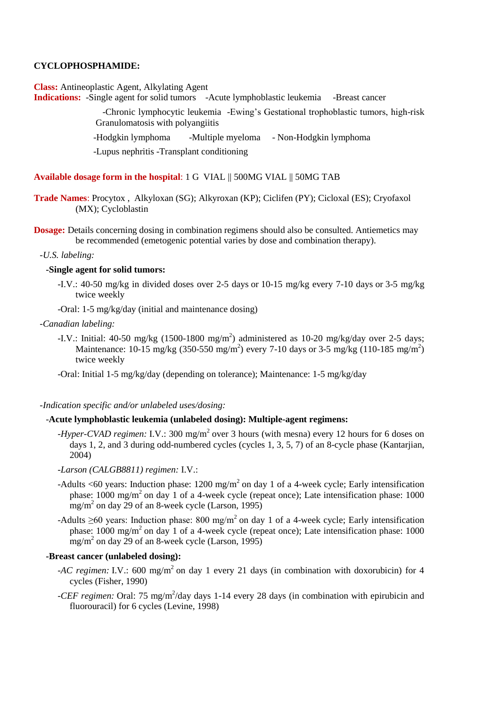### **CYCLOPHOSPHAMIDE:**

**Class:** Antineoplastic Agent, Alkylating Agent

**Indications:** -Single agent for solid tumors -Acute lymphoblastic leukemia -Breast cancer

-Chronic lymphocytic leukemia -Ewing's Gestational trophoblastic tumors, high-risk Granulomatosis with polyangiitis

-Hodgkin lymphoma -Multiple myeloma - Non-Hodgkin lymphoma

-Lupus nephritis -Transplant conditioning

#### **Available dosage form in the hospital**: 1 G VIAL || 500MG VIAL || 50MG TAB

**Trade Names**: Procytox , Alkyloxan (SG); Alkyroxan (KP); Ciclifen (PY); Cicloxal (ES); Cryofaxol (MX); Cycloblastin

**Dosage:** Details concerning dosing in combination regimens should also be consulted. Antiemetics may be recommended (emetogenic potential varies by dose and combination therapy).

#### *-U.S. labeling:*

#### **-Single agent for solid tumors:**

- -I.V.: 40-50 mg/kg in divided doses over 2-5 days or 10-15 mg/kg every 7-10 days or 3-5 mg/kg twice weekly
- -Oral: 1-5 mg/kg/day (initial and maintenance dosing)
- *-Canadian labeling:*
	- -I.V.: Initial: 40-50 mg/kg (1500-1800 mg/m<sup>2</sup>) administered as 10-20 mg/kg/day over 2-5 days; Maintenance: 10-15 mg/kg (350-550 mg/m<sup>2</sup>) every 7-10 days or 3-5 mg/kg (110-185 mg/m<sup>2</sup>) twice weekly

-Oral: Initial 1-5 mg/kg/day (depending on tolerance); Maintenance: 1-5 mg/kg/day

#### *-Indication specific and/or unlabeled uses/dosing:*

## -**Acute lymphoblastic leukemia (unlabeled dosing): Multiple-agent regimens:**

*-Hyper-CVAD regimen:* I.V.: 300 mg/m<sup>2</sup> over 3 hours (with mesna) every 12 hours for 6 doses on days 1, 2, and 3 during odd-numbered cycles (cycles 1, 3, 5, 7) of an 8-cycle phase (Kantarjian, 2004)

#### *-Larson (CALGB8811) regimen:* I.V.:

- -Adults <60 years: Induction phase:  $1200 \text{ mg/m}^2$  on day 1 of a 4-week cycle; Early intensification phase:  $1000 \text{ mg/m}^2$  on day 1 of a 4-week cycle (repeat once); Late intensification phase:  $1000$ mg/m<sup>2</sup> on day 29 of an 8-week cycle (Larson, 1995)
- -Adults  $\geq 60$  years: Induction phase: 800 mg/m<sup>2</sup> on day 1 of a 4-week cycle; Early intensification phase: 1000 mg/m<sup>2</sup> on day 1 of a 4-week cycle (repeat once); Late intensification phase: 1000  $mg/m^2$  on day 29 of an 8-week cycle (Larson, 1995)

## **-Breast cancer (unlabeled dosing):**

- *-AC regimen:* I.V.: 600 mg/m<sup>2</sup> on day 1 every 21 days (in combination with doxorubicin) for 4 cycles (Fisher, 1990)
- *-CEF regimen:* Oral: 75 mg/m<sup>2</sup>/day days 1-14 every 28 days (in combination with epirubicin and fluorouracil) for 6 cycles (Levine, 1998)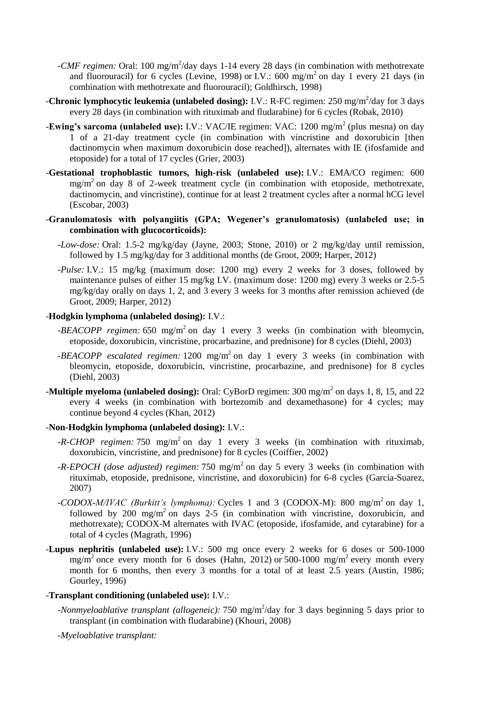- *-CMF regimen:* Oral: 100 mg/m<sup>2</sup>/day days 1-14 every 28 days (in combination with methotrexate and fluorouracil) for 6 cycles (Levine, 1998) or I.V.:  $600 \text{ mg/m}^2$  on day 1 every 21 days (in combination with methotrexate and fluorouracil); Goldhirsch, 1998)
- -**Chronic lymphocytic leukemia (unlabeled dosing):** I.V.: R-FC regimen: 250 mg/m<sup>2</sup>/day for 3 days every 28 days (in combination with rituximab and fludarabine) for 6 cycles (Robak, 2010)
- -**Ewing's sarcoma (unlabeled use):** I.V.: VAC/IE regimen: VAC: 1200 mg/m<sup>2</sup> (plus mesna) on day 1 of a 21-day treatment cycle (in combination with vincristine and doxorubicin [then dactinomycin when maximum doxorubicin dose reached]), alternates with IE (ifosfamide and etoposide) for a total of 17 cycles (Grier, 2003)
- -**Gestational trophoblastic tumors, high-risk (unlabeled use):** I.V.: EMA/CO regimen: 600 mg/m<sup>2</sup> on day 8 of 2-week treatment cycle (in combination with etoposide, methotrexate, dactinomycin, and vincristine), continue for at least 2 treatment cycles after a normal hCG level (Escobar, 2003)
- -**Granulomatosis with polyangiitis (GPA; Wegener's granulomatosis) (unlabeled use; in combination with glucocorticoids):**
	- *-Low-dose:* Oral: 1.5-2 mg/kg/day (Jayne, 2003; Stone, 2010) or 2 mg/kg/day until remission, followed by 1.5 mg/kg/day for 3 additional months (de Groot, 2009; Harper, 2012)
	- *-Pulse:* I.V.: 15 mg/kg (maximum dose: 1200 mg) every 2 weeks for 3 doses, followed by maintenance pulses of either 15 mg/kg I.V. (maximum dose: 1200 mg) every 3 weeks or 2.5-5 mg/kg/day orally on days 1, 2, and 3 every 3 weeks for 3 months after remission achieved (de Groot, 2009; Harper, 2012)

# -**Hodgkin lymphoma (unlabeled dosing):** I.V.:

- *-BEACOPP regimen:* 650 mg/m<sup>2</sup> on day 1 every 3 weeks (in combination with bleomycin, etoposide, doxorubicin, vincristine, procarbazine, and prednisone) for 8 cycles (Diehl, 2003)
- *-BEACOPP escalated regimen:* 1200 mg/m<sup>2</sup> on day 1 every 3 weeks (in combination with bleomycin, etoposide, doxorubicin, vincristine, procarbazine, and prednisone) for 8 cycles (Diehl, 2003)
- **-Multiple myeloma (unlabeled dosing):** Oral: CyBorD regimen: 300 mg/m<sup>2</sup> on days 1, 8, 15, and 22 every 4 weeks (in combination with bortezomib and dexamethasone) for 4 cycles; may continue beyond 4 cycles (Khan, 2012)

## -**Non-Hodgkin lymphoma (unlabeled dosing):** I.V.:

- -*R-CHOP regimen:* 750 mg/m<sup>2</sup> on day 1 every 3 weeks (in combination with rituximab, doxorubicin, vincristine, and prednisone) for 8 cycles (Coiffier, 2002)
- *-R-EPOCH (dose adjusted) regimen:* 750 mg/m<sup>2</sup> on day 5 every 3 weeks (in combination with rituximab, etoposide, prednisone, vincristine, and doxorubicin) for 6-8 cycles (Garcia-Suarez, 2007)
- -CODOX-M/IVAC (Burkitt's lymphoma): Cycles 1 and 3 (CODOX-M): 800 mg/m<sup>2</sup> on day 1, followed by 200 mg/m<sup>2</sup> on days 2-5 (in combination with vincristine, doxorubicin, and methotrexate); CODOX-M alternates with IVAC (etoposide, ifosfamide, and cytarabine) for a total of 4 cycles (Magrath, 1996)
- -**Lupus nephritis (unlabeled use):** I.V.: 500 mg once every 2 weeks for 6 doses or 500-1000  $mg/m<sup>2</sup>$  once every month for 6 doses (Hahn, 2012) or 500-1000 mg/m<sup>2</sup> every month every month for 6 months, then every 3 months for a total of at least 2.5 years (Austin, 1986; Gourley, 1996)

### -**Transplant conditioning (unlabeled use):** I.V.:

- *-Nonmyeloablative transplant (allogeneic):* 750 mg/m<sup>2</sup>/day for 3 days beginning 5 days prior to transplant (in combination with fludarabine) (Khouri, 2008)
- *-Myeloablative transplant:*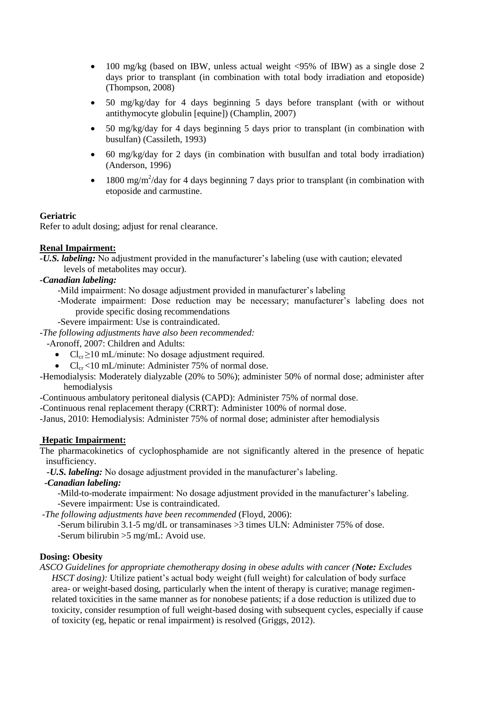- $\bullet$  100 mg/kg (based on IBW, unless actual weight  $\langle 95\%$  of IBW) as a single dose 2 days prior to transplant (in combination with total body irradiation and etoposide) (Thompson, 2008)
- 50 mg/kg/day for 4 days beginning 5 days before transplant (with or without antithymocyte globulin [equine]) (Champlin, 2007)
- 50 mg/kg/day for 4 days beginning 5 days prior to transplant (in combination with busulfan) (Cassileth, 1993)
- 60 mg/kg/day for 2 days (in combination with busulfan and total body irradiation) (Anderson, 1996)
- 1800 mg/m<sup>2</sup>/day for 4 days beginning 7 days prior to transplant (in combination with etoposide and carmustine.

# **Geriatric**

Refer to adult dosing; adjust for renal clearance.

# **Renal Impairment:**

*-U.S. labeling:* No adjustment provided in the manufacturer's labeling (use with caution; elevated levels of metabolites may occur).

# *-Canadian labeling:*

-Mild impairment: No dosage adjustment provided in manufacturer's labeling

- -Moderate impairment: Dose reduction may be necessary; manufacturer's labeling does not provide specific dosing recommendations
- -Severe impairment: Use is contraindicated.

*-The following adjustments have also been recommended:*

-Aronoff, 2007: Children and Adults:

- $Cl_{cr} \ge 10 \text{ mL/minute}$ : No dosage adjustment required.
- $Cl_{cr} < 10 \text{ mL/min}$  Cl. Administer 75% of normal dose.
- -Hemodialysis: Moderately dialyzable (20% to 50%); administer 50% of normal dose; administer after hemodialysis

-Continuous ambulatory peritoneal dialysis (CAPD): Administer 75% of normal dose.

- -Continuous renal replacement therapy (CRRT): Administer 100% of normal dose.
- -Janus, 2010: Hemodialysis: Administer 75% of normal dose; administer after hemodialysis

# **Hepatic Impairment:**

The pharmacokinetics of cyclophosphamide are not significantly altered in the presence of hepatic insufficiency.

 *-U.S. labeling:* No dosage adjustment provided in the manufacturer's labeling.

# *-Canadian labeling:*

-Mild-to-moderate impairment: No dosage adjustment provided in the manufacturer's labeling. -Severe impairment: Use is contraindicated.

*-The following adjustments have been recommended* (Floyd, 2006):

-Serum bilirubin 3.1-5 mg/dL or transaminases >3 times ULN: Administer 75% of dose.

-Serum bilirubin >5 mg/mL: Avoid use.

### **Dosing: Obesity**

*ASCO Guidelines for appropriate chemotherapy dosing in obese adults with cancer (Note: Excludes HSCT dosing*): Utilize patient's actual body weight (full weight) for calculation of body surface area- or weight-based dosing, particularly when the intent of therapy is curative; manage regimenrelated toxicities in the same manner as for nonobese patients; if a dose reduction is utilized due to toxicity, consider resumption of full weight-based dosing with subsequent cycles, especially if cause of toxicity (eg, hepatic or renal impairment) is resolved (Griggs, 2012).